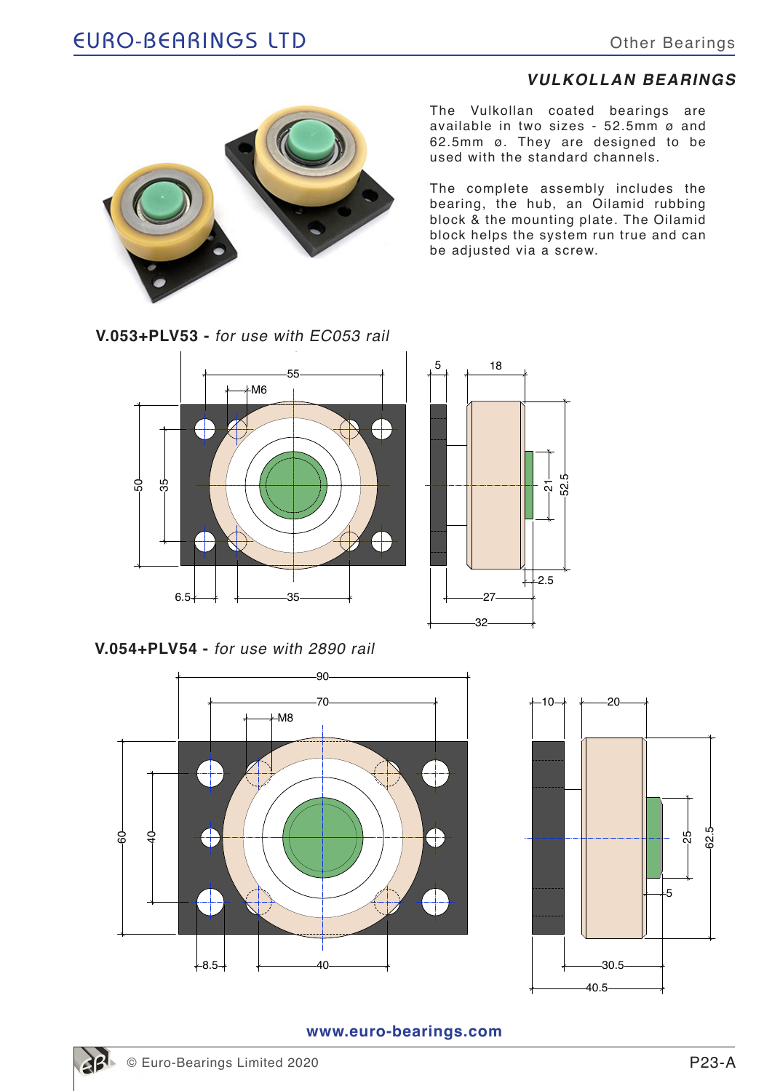## **VULKOLLAN BEARINGS**



The Vulkollan coated bearings are available in two sizes - 52.5mm ø and 62.5mm ø. They are designed to be used with the standard channels.

The complete assembly includes the bearing, the hub, an Oilamid rubbing block & the mounting plate. The Oilamid block helps the system run true and can be adjusted via a screw.

**V.053+PLV53 -** for use with EC053 rail



**V.054+PLV54 -** for use with 2890 rail





**www.euro-bearings.com**